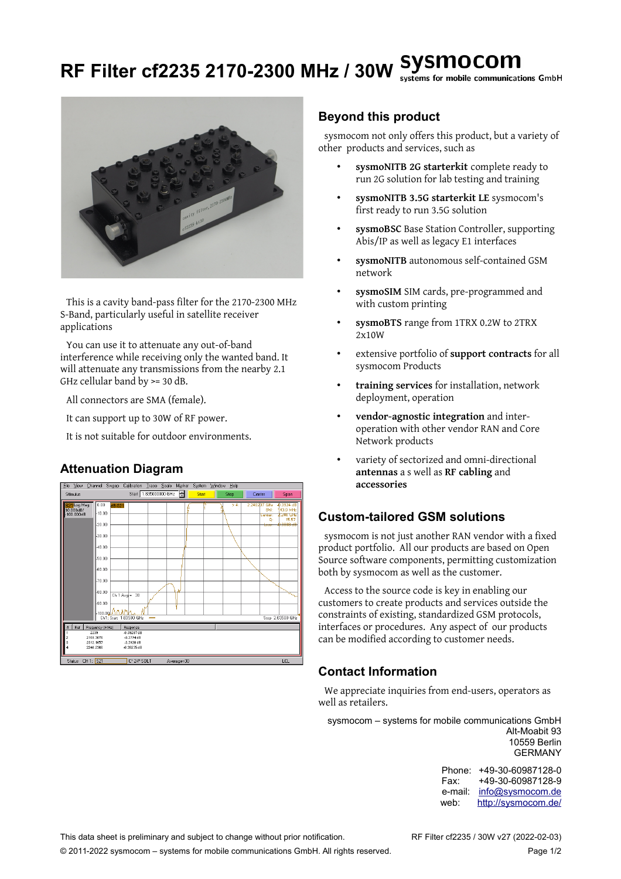## **RF Filter cf2235 2170-2300 MHz / 30W** systems for mobile communications GmbH



This is a cavity band-pass filter for the 2170-2300 MHz S-Band, particularly useful in satellite receiver applications

You can use it to attenuate any out-of-band interference while receiving only the wanted band. It will attenuate any transmissions from the nearby 2.1 GHz cellular band by >= 30 dB.

All connectors are SMA (female).

It can support up to 30W of RF power.

It is not suitable for outdoor environments.

### **Attenuation Diagram**



#### **Beyond this product**

sysmocom not only offers this product, but a variety of other products and services, such as

- **sysmoNITB 2G starterkit** complete ready to run 2G solution for lab testing and training
- **sysmoNITB 3.5G starterkit LE** sysmocom's first ready to run 3.5G solution
- **sysmoBSC** Base Station Controller, supporting Abis/IP as well as legacy E1 interfaces
- **sysmoNITB** autonomous self-contained GSM network
- **sysmoSIM** SIM cards, pre-programmed and with custom printing
- **sysmoBTS** range from 1TRX 0.2W to 2TRX 2x10W
- extensive portfolio of **support contracts** for all sysmocom Products
- **training services** for installation, network deployment, operation
- **vendor-agnostic integration** and interoperation with other vendor RAN and Core Network products
- variety of sectorized and omni-directional **antennas** a s well as **RF cabling** and **accessories**

### **Custom-tailored GSM solutions**

sysmocom is not just another RAN vendor with a fixed product portfolio. All our products are based on Open Source software components, permitting customization both by sysmocom as well as the customer.

Access to the source code is key in enabling our customers to create products and services outside the constraints of existing, standardized GSM protocols, interfaces or procedures. Any aspect of our products can be modified according to customer needs.

### **Contact Information**

We appreciate inquiries from end-users, operators as well as retailers.

sysmocom – systems for mobile communications GmbH Alt-Moabit 93 10559 Berlin GERMANY

> Phone: +49-30-60987128-0 Fax: +49-30-60987128-9 e-mail: [info@sysmocom.de](mailto:info@sysmocom.de) web: <http://sysmocom.de/>

This data sheet is preliminary and subject to change without prior notification. RF Filter cf2235 / 30W v27 (2022-02-03)